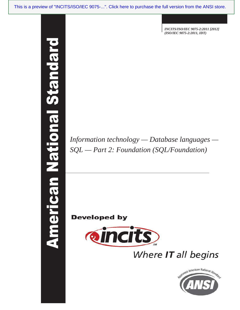merican National Standa

 *INCITS/ISO/IEC 9075-2:2011 [2012] (ISO/IEC 9075-2:2011, IDT)*

*Information technology — Database languages — SQL — Part 2: Foundation (SQL/Foundation)*

**Developed by** 



Where IT all begins

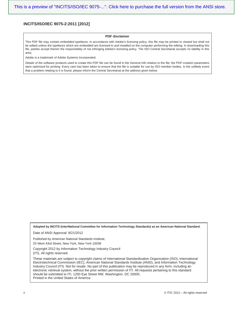#### **INCITS/ISO/IEC 9075-2:2011 [2012]**

#### **PDF disclaimer**

This PDF file may contain embedded typefaces. In accordance with Adobe's licensing policy, this file may be printed or viewed but shall not be edited unless the typefaces which are embedded are licensed to and installed on the computer performing the editing. In downloading this file, parties accept therein the responsibility of not infringing Adobe's licensing policy. The ISO Central Secretariat accepts no liability in this area.

Adobe is a trademark of Adobe Systems Incorporated.

Details of the software products used to create this PDF file can be found in the General Info relative to the file; the PDF-creation parameters were optimized for printing. Every care has been taken to ensure that the file is suitable for use by ISO member bodies. In the unlikely event that a problem relating to it is found, please inform the Central Secretariat at the address given below.

**Adopted by INCITS (InterNational Committee for Information Technology Standards) as an American National Standard.**

Date of ANSI Approval: 8/21/2012

Published by American National Standards Institute,

25 West 43rd Street, New York, New York 10036

Copyright 2012 by Information Technology Industry Council (ITI). All rights reserved.

These materials are subject to copyright claims of International Standardization Organization (ISO), International Electrotechnical Commission (IEC), American National Standards Institute (ANSI), and Information Technology Industry Council (ITI). Not for resale. No part of this publication may be reproduced in any form, including an electronic retrieval system, without the prior written permission of ITI. All requests pertaining to this standard should be submitted to ITI, 1250 Eye Street NW, Washington, DC 20005. Printed in the United States of America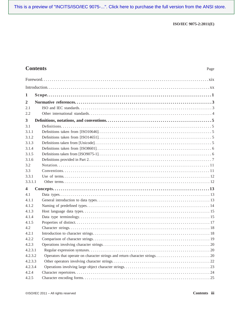# **Contents** Page

| 1                       |  |
|-------------------------|--|
| $\overline{2}$          |  |
| 2.1                     |  |
| 2.2                     |  |
| $\mathbf{3}$            |  |
| 3.1                     |  |
| 3.1.1                   |  |
| 3.1.2                   |  |
| 3.1.3                   |  |
| 3.1.4                   |  |
| 3.1.5                   |  |
| 3.1.6                   |  |
| 3.2                     |  |
| 3.3                     |  |
| 3.3.1                   |  |
| 3.3.1.1                 |  |
| $\overline{\mathbf{4}}$ |  |
| 4.1                     |  |
| 4.1.1                   |  |
| 4.1.2                   |  |
| 4.1.3                   |  |
| 4.1.4                   |  |
| 4.1.5                   |  |
| 4.2                     |  |
| 4.2.1                   |  |
| 4.2.2                   |  |
| 4.2.3                   |  |
| 4.2.3.1                 |  |
| 4.2.3.2                 |  |
| 4.2.3.3                 |  |
| 4.2.3.4                 |  |
| 4.2.4                   |  |
| 4.2.5                   |  |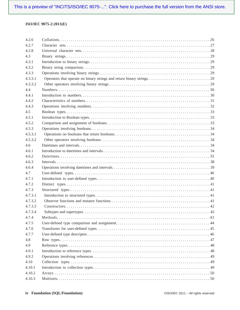| 4.2.6   |  |
|---------|--|
| 4.2.7   |  |
| 4.2.8   |  |
| 4.3     |  |
| 4.3.1   |  |
| 4.3.2   |  |
| 4.3.3   |  |
| 4.3.3.1 |  |
| 4.3.3.2 |  |
| 4.4     |  |
| 4.4.1   |  |
| 4.4.2   |  |
| 4.4.3   |  |
| 4.5     |  |
| 4.5.1   |  |
| 4.5.2   |  |
| 4.5.3   |  |
| 4.5.3.1 |  |
| 4.5.3.2 |  |
| 4.6     |  |
| 4.6.1   |  |
| 4.6.2   |  |
| 4.6.3   |  |
| 4.6.4   |  |
| 4.7     |  |
| 4.7.1   |  |
| 4.7.2   |  |
| 4.7.3   |  |
| 4.7.3.1 |  |
| 4.7.3.2 |  |
| 4.7.3.3 |  |
| 4.7.3.4 |  |
| 4.7.4   |  |
| 4.7.5   |  |
| 4.7.6   |  |
| 4.7.7   |  |
| 4.8     |  |
| 4.9     |  |
| 4.9.1   |  |
| 4.9.2   |  |
| 4.10    |  |
| 4.10.1  |  |
| 4.10.2  |  |
| 4.10.3  |  |
|         |  |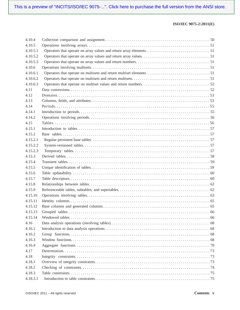| 4.10.4   |  |
|----------|--|
| 4.10.5   |  |
| 4.10.5.1 |  |
| 4.10.5.2 |  |
| 4.10.5.3 |  |
| 4.10.6   |  |
| 4.10.6.1 |  |
| 4.10.6.2 |  |
| 4.10.6.3 |  |
| 4.11     |  |
| 4.12     |  |
| 4.13     |  |
| 4.14     |  |
| 4.14.1   |  |
| 4.14.2   |  |
| 4.15     |  |
| 4.15.1   |  |
| 4.15.2   |  |
| 4.15.2.1 |  |
| 4.15.2.2 |  |
| 4.15.2.3 |  |
| 4.15.3   |  |
| 4.15.4   |  |
| 4.15.5   |  |
| 4.15.6   |  |
| 4.15.7   |  |
| 4.15.8   |  |
| 4.15.9   |  |
| 4.15.10  |  |
| 4.15.11  |  |
| 4.15.12  |  |
| 4.15.13  |  |
| 4.15.14  |  |
| 4.16     |  |
| 4.16.1   |  |
| 4.16.2   |  |
| 4.16.3   |  |
| 4.16.4   |  |
| 4.17     |  |
| 4.18     |  |
| 4.18.1   |  |
| 4.18.2   |  |
| 4.18.3   |  |
| 4.18.3.1 |  |
|          |  |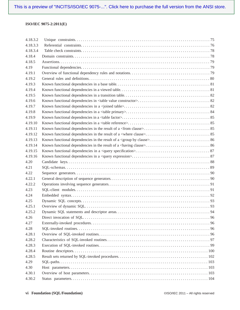| 4.18.3.2 |      |  |
|----------|------|--|
| 4.18.3.3 |      |  |
| 4.18.3.4 |      |  |
| 4.18.4   |      |  |
| 4.18.5   |      |  |
| 4.19     |      |  |
| 4.19.1   |      |  |
| 4.19.2   |      |  |
| 4.19.3   |      |  |
| 4.19.4   |      |  |
| 4.19.5   |      |  |
| 4.19.6   |      |  |
| 4.19.7   |      |  |
| 4.19.8   |      |  |
| 4.19.9   |      |  |
| 4.19.10  |      |  |
| 4.19.11  |      |  |
| 4.19.12  |      |  |
| 4.19.13  |      |  |
| 4.19.14  |      |  |
| 4.19.15  |      |  |
| 4.19.16  |      |  |
| 4.20     |      |  |
| 4.21     |      |  |
| 4.22     |      |  |
| 4.22.1   |      |  |
| 4.22.2   |      |  |
| 4.23     |      |  |
| 4.24     |      |  |
| 4.25     |      |  |
| 4.25.1   |      |  |
| 4.25.2   | . 94 |  |
| 4.26     |      |  |
| 4.27     |      |  |
| 4.28     |      |  |
| 4.28.1   |      |  |
| 4.28.2   |      |  |
| 4.28.3   |      |  |
| 4.28.4   |      |  |
| 4.28.5   |      |  |
| 4.29     |      |  |
| 4.30     |      |  |
| 4.30.1   |      |  |
| 4.30.2   |      |  |
|          |      |  |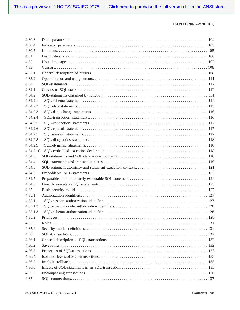| 4.30.4<br>4.30.5<br>4.31<br>4.32<br>4.33<br>4.33.1<br>4.33.2<br>4.34<br>4.34.1<br>4.34.2<br>4,34,2,1<br>4.34.2.2<br>4.34.2.3<br>4.34.2.4<br>4.34.2.5<br>4.34.2.6 |
|------------------------------------------------------------------------------------------------------------------------------------------------------------------|
|                                                                                                                                                                  |
|                                                                                                                                                                  |
|                                                                                                                                                                  |
|                                                                                                                                                                  |
|                                                                                                                                                                  |
|                                                                                                                                                                  |
|                                                                                                                                                                  |
|                                                                                                                                                                  |
|                                                                                                                                                                  |
|                                                                                                                                                                  |
|                                                                                                                                                                  |
|                                                                                                                                                                  |
|                                                                                                                                                                  |
|                                                                                                                                                                  |
|                                                                                                                                                                  |
|                                                                                                                                                                  |
| 4.34.2.7                                                                                                                                                         |
| 4.34.2.8                                                                                                                                                         |
| 4.34.2.9                                                                                                                                                         |
| 4.34.2.10                                                                                                                                                        |
| 4.34.3                                                                                                                                                           |
| 4.34.4                                                                                                                                                           |
| 4.34.5                                                                                                                                                           |
| 4.34.6                                                                                                                                                           |
| 4.34.7                                                                                                                                                           |
| 4.34.8                                                                                                                                                           |
| 4.35                                                                                                                                                             |
| 4.35.1                                                                                                                                                           |
| 4.35.1.1                                                                                                                                                         |
| 4.35.1.2                                                                                                                                                         |
| 128<br>4.35.1.3                                                                                                                                                  |
| 4.35.2                                                                                                                                                           |
| 4.35.3                                                                                                                                                           |
| 4.35.4                                                                                                                                                           |
| 4.36                                                                                                                                                             |
| 4.36.1                                                                                                                                                           |
| 4.36.2                                                                                                                                                           |
| 4.36.3                                                                                                                                                           |
| 4.36.4                                                                                                                                                           |
| 4.36.5                                                                                                                                                           |
| 4.36.6                                                                                                                                                           |
| 4.36.7                                                                                                                                                           |
| 4.37                                                                                                                                                             |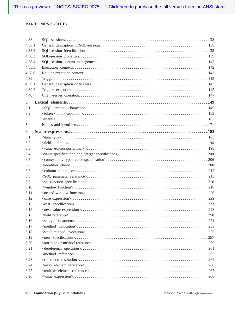| 4.38   |  |
|--------|--|
| 4.38.1 |  |
| 4.38.2 |  |
| 4.38.3 |  |
| 4.38.4 |  |
| 4.38.5 |  |
| 4.38.6 |  |
| 4.39   |  |
| 4.39.1 |  |
| 4.39.2 |  |
| 4.40   |  |
| 5      |  |
| 5.1    |  |
| 5.2    |  |
| 5.3    |  |
| 5.4    |  |
| 6      |  |
| 6.1    |  |
| 6.2    |  |
| 6.3    |  |
| 6.4    |  |
| 6.5    |  |
| 6.6    |  |
| 6.7    |  |
| 6.8    |  |
| 6.9    |  |
| 6.10   |  |
| 6.11   |  |
| 6.12   |  |
| 6.13   |  |
| 6.14   |  |
| 6.15   |  |
| 6.16   |  |
| 6.17   |  |
| 6.18   |  |
| 6.19   |  |
| 6.20   |  |
| 6.21   |  |
| 6.22   |  |
| 6.23   |  |
| 6.24   |  |
| 6.25   |  |
| 6.26   |  |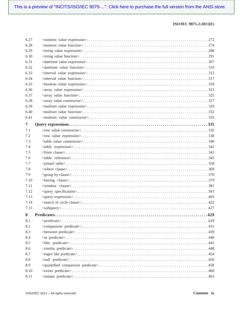| 6.27           |  |
|----------------|--|
| 6.28           |  |
| 6.29           |  |
| 6.30           |  |
| 6.31           |  |
| 6.32           |  |
| 6.33           |  |
| 6.34           |  |
| 6.35           |  |
| 6.36           |  |
| 6.37           |  |
| 6.38           |  |
| 6.39           |  |
| 6.40           |  |
| 6.41           |  |
| $\overline{7}$ |  |
| 7.1            |  |
| 7.2            |  |
| 7.3            |  |
| 7.4            |  |
| 7.5            |  |
| 7.6            |  |
| 7.7            |  |
| 7.8            |  |
| 7.9            |  |
| 7.10           |  |
| 7.11           |  |
| 7.12           |  |
| 7.13           |  |
| 7.14           |  |
| 7.15           |  |
| 8              |  |
| 8.1            |  |
| 8.2            |  |
| 8.3            |  |
| 8.4            |  |
| 8.5            |  |
| 8.6            |  |
| 8.7            |  |
| 8.8            |  |
| 8.9            |  |
| 8.10           |  |
| 8.11           |  |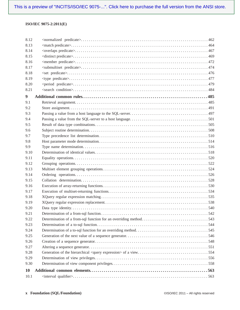| 8.12      |  |
|-----------|--|
| 8.13      |  |
| 8.14      |  |
| 8.15      |  |
| 8.16      |  |
| 8.17      |  |
| 8.18      |  |
| 8.19      |  |
| 8.20      |  |
| 8.21      |  |
| 9         |  |
| 9.1       |  |
| 9.2       |  |
| 9.3       |  |
| 9.4       |  |
| 9.5       |  |
| 9.6       |  |
| 9.7       |  |
| 9.8       |  |
| 9.9       |  |
| 9.10      |  |
| 9.11      |  |
| 9.12      |  |
| 9.13      |  |
| 9.14      |  |
| 9.15      |  |
| 9.16      |  |
| 9.17      |  |
| 9.18      |  |
| 9.19      |  |
| 9.20      |  |
| 9.21      |  |
| 9.22      |  |
| 9.23      |  |
| 9.24      |  |
| 9.25      |  |
| 9.26      |  |
| 9.27      |  |
| 9.28      |  |
| 9.29      |  |
| 9.30      |  |
| <b>10</b> |  |
| 10.1      |  |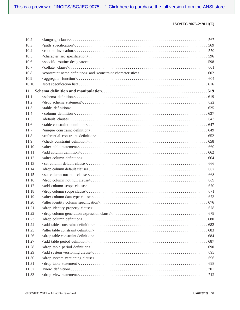| 10.2  |  |
|-------|--|
| 10.3  |  |
| 10.4  |  |
| 10.5  |  |
| 10.6  |  |
| 10.7  |  |
| 10.8  |  |
| 10.9  |  |
| 10.10 |  |
| 11    |  |
| 11.1  |  |
| 11.2  |  |
| 11.3  |  |
| 11.4  |  |
| 11.5  |  |
| 11.6  |  |
| 11.7  |  |
| 11.8  |  |
| 11.9  |  |
| 11.10 |  |
| 11.11 |  |
| 11.12 |  |
| 11.13 |  |
| 11.14 |  |
| 11.15 |  |
| 11.16 |  |
| 11.17 |  |
| 11.18 |  |
| 11.19 |  |
| 11.20 |  |
| 11.21 |  |
| 11.22 |  |
| 11.23 |  |
| 11.24 |  |
| 11.25 |  |
| 11.26 |  |
| 11.27 |  |
| 11.28 |  |
| 11.29 |  |
| 11.30 |  |
| 11.31 |  |
| 11.32 |  |
| 11.33 |  |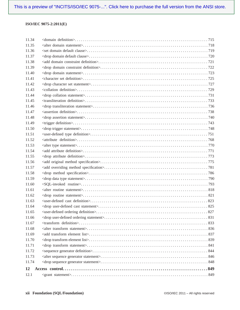| 11.34 |     |
|-------|-----|
| 11.35 |     |
| 11.36 |     |
| 11.37 |     |
| 11.38 |     |
| 11.39 |     |
| 11.40 |     |
| 11.41 |     |
| 11.42 |     |
| 11.43 |     |
| 11.44 |     |
| 11.45 |     |
| 11.46 |     |
| 11.47 |     |
| 11.48 |     |
| 11.49 |     |
| 11.50 |     |
| 11.51 |     |
| 11.52 |     |
| 11.53 |     |
| 11.54 |     |
| 11.55 |     |
| 11.56 |     |
| 11.57 |     |
| 11.58 |     |
| 11.59 |     |
| 11.60 |     |
| 11.61 |     |
| 11.62 |     |
| 11.63 |     |
| 11.64 |     |
| 11.65 | 827 |
| 11.66 |     |
| 11.67 |     |
| 11.68 |     |
| 11.69 |     |
| 11.70 |     |
| 11.71 |     |
| 11.72 |     |
| 11.73 |     |
| 11.74 |     |
| 12    |     |
| 12.1  |     |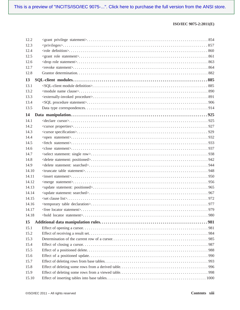| 12.2  |  |
|-------|--|
| 12.3  |  |
| 12.4  |  |
| 12.5  |  |
| 12.6  |  |
| 12.7  |  |
| 12.8  |  |
| 13    |  |
| 131   |  |
| 13.2  |  |
| 13.3  |  |
| 13.4  |  |
| 13.5  |  |
| 14    |  |
| 14.1  |  |
| 14.2  |  |
| 14.3  |  |
| 14.4  |  |
| 14.5  |  |
| 14.6  |  |
| 14.7  |  |
| 14.8  |  |
| 14.9  |  |
| 14.10 |  |
| 14.11 |  |
| 14.12 |  |
| 14.13 |  |
| 14.14 |  |
| 14.15 |  |
| 14.16 |  |
| 14.17 |  |
| 14.18 |  |
| 15    |  |
| 15.1  |  |
| 15.2  |  |
| 15.3  |  |
| 15.4  |  |
| 15.5  |  |
| 15.6  |  |
| 15.7  |  |
| 15.8  |  |
| 15.9  |  |
| 15.10 |  |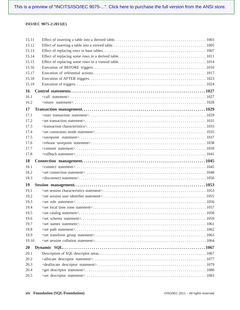| 15.11           |  |
|-----------------|--|
| 15.12           |  |
| 15.13           |  |
| 15.14           |  |
| 15.15           |  |
| 15.16           |  |
| 15.17           |  |
| 15.18           |  |
| 15.19           |  |
| 16              |  |
| 16.1            |  |
| 16.2            |  |
| 17              |  |
| 17.1            |  |
| 17.2            |  |
| 17.3            |  |
| 17.4            |  |
| 17 <sub>5</sub> |  |
| 17.6            |  |
| 17.7            |  |
| 17.8            |  |
|                 |  |
| 18              |  |
| 18.1            |  |
| 18.2            |  |
| 18.3            |  |
| 19              |  |
| 19.1            |  |
| 19.2            |  |
| 19.3            |  |
| 19.4            |  |
| 19.5            |  |
| 19.6            |  |
| 19.7            |  |
| 19.8            |  |
| 19.9            |  |
| 19.10           |  |
| 20              |  |
| 20.1            |  |
| 20.2            |  |
| 20.3            |  |
| 20.4            |  |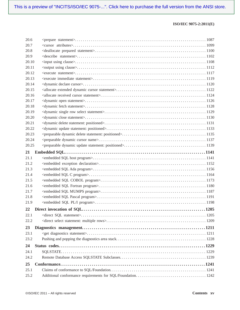| 20.6  |  |
|-------|--|
| 20.7  |  |
| 20.8  |  |
| 20.9  |  |
| 20.10 |  |
| 20.11 |  |
| 20.12 |  |
| 20.13 |  |
| 20.14 |  |
| 20.15 |  |
| 20.16 |  |
| 20.17 |  |
| 20.18 |  |
| 20.19 |  |
| 20.20 |  |
| 20.21 |  |
| 20.22 |  |
| 20.23 |  |
| 20.24 |  |
| 20.25 |  |
| 21    |  |
| 21.1  |  |
| 21.2  |  |
| 21.3  |  |
| 21.4  |  |
| 21.5  |  |
| 21.6  |  |
| 21.7  |  |
| 21.8  |  |
| 21.9  |  |
| 22    |  |
| 22.1  |  |
| 22.2  |  |
| 23    |  |
| 23.1  |  |
| 23.2  |  |
| 24    |  |
| 24.1  |  |
| 24.2  |  |
| 25    |  |
| 25.1  |  |
| 25.2  |  |
|       |  |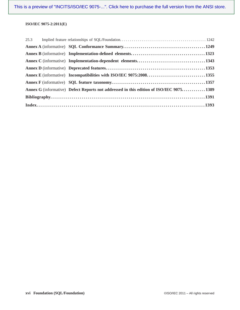|  | Annex E (informative) Incompatibilities with ISO/IEC 9075:20081355                      |  |  |  |
|--|-----------------------------------------------------------------------------------------|--|--|--|
|  |                                                                                         |  |  |  |
|  | Annex G (informative) Defect Reports not addressed in this edition of ISO/IEC 9075 1389 |  |  |  |
|  |                                                                                         |  |  |  |
|  |                                                                                         |  |  |  |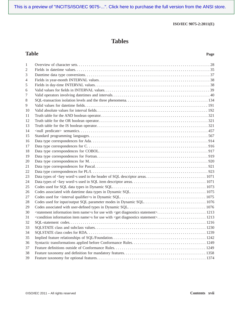[This is a preview of "INCITS/ISO/IEC 9075-...". Click here to purchase the full version from the ANSI store.](https://webstore.ansi.org/RecordDetail.aspx?sku=INCITS%2FISO%2FIEC%209075-2:2011%20%5B2012%5D&source=preview)

#### **ISO/IEC 9075-2:2011(E)**

# **Tables**

## **Table Page**

| 1<br>2<br>3<br>4<br>5<br>6<br>7<br>8<br>9<br>10<br>11<br>12<br>13 |  |
|-------------------------------------------------------------------|--|
|                                                                   |  |
|                                                                   |  |
|                                                                   |  |
|                                                                   |  |
|                                                                   |  |
|                                                                   |  |
|                                                                   |  |
|                                                                   |  |
|                                                                   |  |
|                                                                   |  |
|                                                                   |  |
|                                                                   |  |
|                                                                   |  |
| 14                                                                |  |
| 15                                                                |  |
| 16                                                                |  |
| 17                                                                |  |
| 18                                                                |  |
| 19                                                                |  |
| 20                                                                |  |
| 21                                                                |  |
| 22                                                                |  |
| 23                                                                |  |
| 24                                                                |  |
| 25                                                                |  |
| 26                                                                |  |
| 27                                                                |  |
| 28                                                                |  |
| 29                                                                |  |
| 30                                                                |  |
| 31                                                                |  |
| 32                                                                |  |
| 33                                                                |  |
| 34                                                                |  |
| 35                                                                |  |
| 36                                                                |  |
| 37                                                                |  |
| 38                                                                |  |
| 39                                                                |  |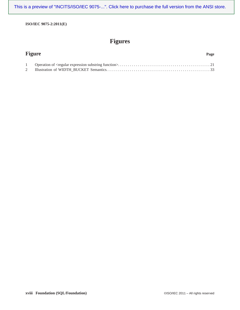[This is a preview of "INCITS/ISO/IEC 9075-...". Click here to purchase the full version from the ANSI store.](https://webstore.ansi.org/RecordDetail.aspx?sku=INCITS%2FISO%2FIEC%209075-2:2011%20%5B2012%5D&source=preview)

**ISO/IEC 9075-2:2011(E)**

# **Figures**

| <b>Figure</b> |  |
|---------------|--|
|               |  |
|               |  |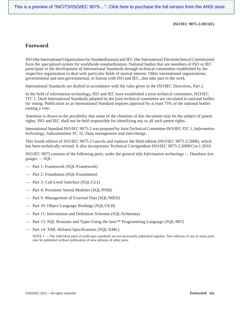## **Foreword**

ISO (the International Organization for Standardization) and IEC (the International Electrotechnical Commission) form the specialized system for worldwide standardization. National bodies that are members of ISO or IEC participate in the development of International Standards through technical committees established by the respective organization to deal with particular fields of mutual interest. Other international organizations, governmental and non-governmental, in liaison with ISO and IEC, also take part in the work.

International Standards are drafted in accordance with the rules given in the ISO/IEC Directives, Part 2.

In the field of information technology, ISO and IEC have established a joint technical committee, ISO/IEC JTC 1. Draft International Standards adopted by the joint technical committee are circulated to national bodies for voting. Publication as an International Standard requires approval by at least 75% of the national bodies casting a vote.

Attention is drawn to the possibility that some of the elements of this document may be the subject of patent rights. ISO and IEC shall not be held responsible for identifying any or all such patent rights.

International Standard ISO/IEC 9075-2 was prepared by Joint Technical Committee ISO/IEC JTC 1, *Information technology*, Subcommittee SC 32, *Data management and interchange*.

This fourth edition of ISO/IEC 9075-2 cancels and replaces the third edition (ISO/IEC 9075-2:2008), which has been technically revised. It also incorporates Technical Corrigendum ISO/IEC 9075-2:2008/Cor.1:2010.

ISO/IEC 9075 consists of the following parts, under the general title *Information technology — Database languages — SQL*:

- Part 1: Framework (SQL/Framework)
- Part 2: Foundation (SQL/Foundation)
- Part 3: Call-Level Interface (SQL/CLI)
- Part 4: Persistent Stored Modules (SQL/PSM)
- Part 9: Management of External Data (SQL/MED)
- Part 10: Object Language Bindings (SQL/OLB)
- Part 11: Information and Definition Schemas (SQL/Schemata)
- Part 13: SQL Routines and Types Using the Java™ Programming Language (SQL/JRT)
- Part 14: XML-Related Specifications (SQL/XML)

NOTE 1 — The individual parts of multi-part standards are not necessarily published together. New editions of one or more parts may be published without publication of new editions of other parts.